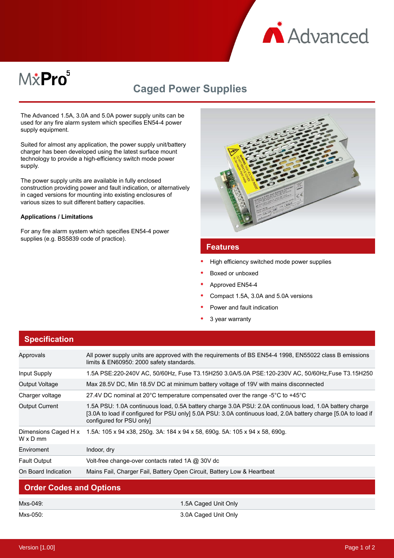

# M&Pro<sup>5</sup>

## **Caged Power Supplies**

The Advanced 1.5A, 3.0A and 5.0A power supply units can be used for any fire alarm system which specifies EN54-4 power supply equipment.

Suited for almost any application, the power supply unit/battery charger has been developed using the latest surface mount technology to provide a high-efficiency switch mode power supply.

The power supply units are available in fully enclosed construction providing power and fault indication, or alternatively in caged versions for mounting into existing enclosures of various sizes to suit different battery capacities.

#### **Applications / Limitations**

For any fire alarm system which specifies EN54-4 power supplies (e.g. BS5839 code of practice).



#### **Features**

- High efficiency switched mode power supplies
- Boxed or unboxed
- Approved EN54-4
- Compact 1.5A, 3.0A and 5.0A versions
- Power and fault indication
- 3 year warranty

| <b>Specification</b>                    |                                                                                                                                                                                                                                                       |  |
|-----------------------------------------|-------------------------------------------------------------------------------------------------------------------------------------------------------------------------------------------------------------------------------------------------------|--|
| Approvals                               | All power supply units are approved with the requirements of BS EN54-4 1998, EN55022 class B emissions<br>limits & EN60950: 2000 safety standards.                                                                                                    |  |
| Input Supply                            | 1.5A PSE:220-240V AC, 50/60Hz, Fuse T3.15H250 3.0A/5.0A PSE:120-230V AC, 50/60Hz,Fuse T3.15H250                                                                                                                                                       |  |
| Output Voltage                          | Max 28.5V DC, Min 18.5V DC at minimum battery voltage of 19V with mains disconnected                                                                                                                                                                  |  |
| Charger voltage                         | 27.4V DC nominal at 20 $^{\circ}$ C temperature compensated over the range -5 $^{\circ}$ C to +45 $^{\circ}$ C                                                                                                                                        |  |
| <b>Output Current</b>                   | 1.5A PSU: 1.0A continuous load, 0.5A battery charge 3.0A PSU: 2.0A continuous load, 1.0A battery charge<br>[3.0A to load if configured for PSU only] 5.0A PSU: 3.0A continuous load, 2.0A battery charge [5.0A to load if<br>configured for PSU only] |  |
| Dimensions Caged H x<br>$W \times D$ mm | 1.5A: 105 x 94 x38, 250g. 3A: 184 x 94 x 58, 690g. 5A: 105 x 94 x 58, 690g.                                                                                                                                                                           |  |
| Enviroment                              | Indoor, dry                                                                                                                                                                                                                                           |  |
| <b>Fault Output</b>                     | Volt-free change-over contacts rated 1A @ 30V dc                                                                                                                                                                                                      |  |
| On Board Indication                     | Mains Fail, Charger Fail, Battery Open Circuit, Battery Low & Heartbeat                                                                                                                                                                               |  |
| Order Cades and Ontians                 |                                                                                                                                                                                                                                                       |  |

#### **Order Codes and Options**

| Mxs-049: | 1.5A Caged Unit Only |
|----------|----------------------|
| Mxs-050: | 3.0A Caged Unit Only |